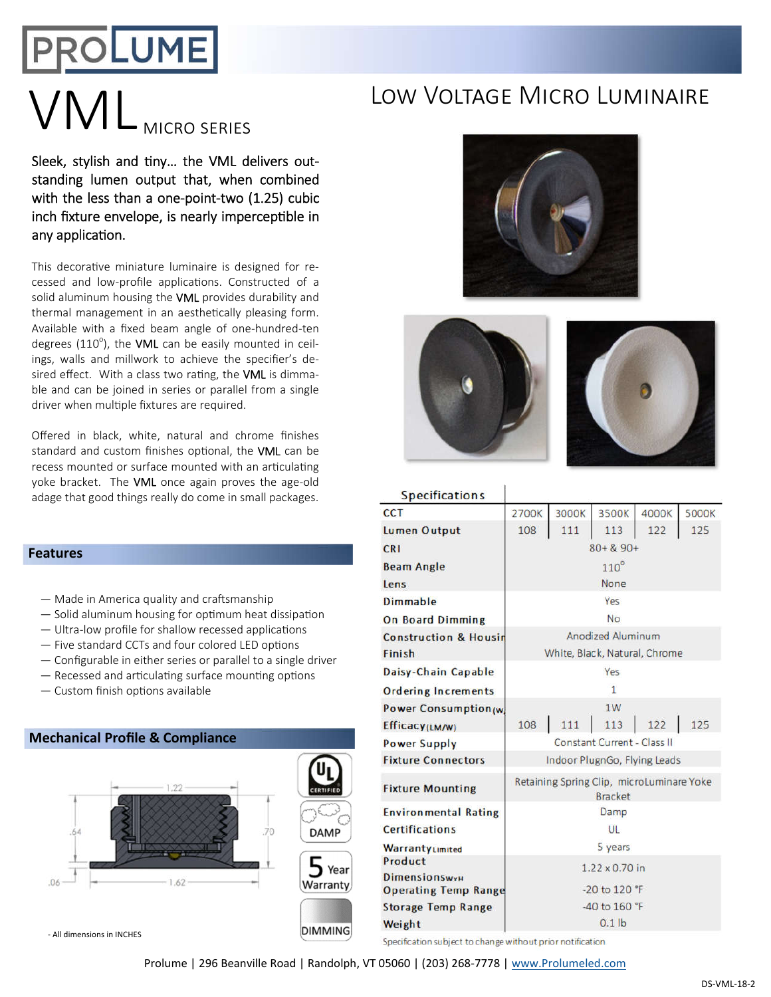## PROLUME

# VML MICRO SERIES LOW VOLTAGE MICRO LUMINAIRE

Sleek, stylish and tiny... the VML delivers outstanding lumen output that, when combined with the less than a one-point-two (1.25) cubic inch fixture envelope, is nearly imperceptible in any application.

This decorative miniature luminaire is designed for recessed and low-profile applications. Constructed of a solid aluminum housing the VML provides durability and thermal management in an aesthetically pleasing form. Available with a fixed beam angle of one-hundred-ten degrees (110<sup>o</sup>), the VML can be easily mounted in ceilings, walls and millwork to achieve the specifier's desired effect. With a class two rating, the VML is dimmable and can be joined in series or parallel from a single driver when multiple fixtures are required.

Offered in black, white, natural and chrome finishes standard and custom finishes optional, the VML can be recess mounted or surface mounted with an articulating yoke bracket. The VML once again proves the age-old adage that good things really do come in small packages.

#### **Features**

- $-$  Made in America quality and craftsmanship
- $-$  Solid aluminum housing for optimum heat dissipation
- $-$  Ultra-low profile for shallow recessed applications
- $-$  Five standard CCTs and four colored LED options
- Configurable in either series or parallel to a single driver
- $-$  Recessed and articulating surface mounting options
- $-$  Custom finish options available









#### **Specifications**

| <b>CCT</b>                                          | 2700K                                                       | 3000K | 3500K | 4000K | 5000K |  |
|-----------------------------------------------------|-------------------------------------------------------------|-------|-------|-------|-------|--|
| Lumen Output                                        | 108                                                         | 111   | 113   | 122   | 125   |  |
| <b>CRI</b>                                          | $80 + 890 +$                                                |       |       |       |       |  |
| <b>Beam Angle</b>                                   | $110^\circ$                                                 |       |       |       |       |  |
| Lens                                                | None                                                        |       |       |       |       |  |
| Dimmable                                            | Yes                                                         |       |       |       |       |  |
| <b>On Board Dimming</b>                             | <b>No</b>                                                   |       |       |       |       |  |
| <b>Construction &amp; Housin</b>                    | Anodized Aluminum                                           |       |       |       |       |  |
| Finish                                              | White, Black, Natural, Chrome                               |       |       |       |       |  |
| Daisy-Chain Capable                                 | Yes                                                         |       |       |       |       |  |
| <b>Ordering Increments</b>                          | $\mathbf{1}$                                                |       |       |       |       |  |
| Power Consumption(w)                                |                                                             |       | 1W    |       |       |  |
| Efficacy(LM/W)                                      | 108                                                         | 111   | 113   | 122   | 125   |  |
| <b>Power Supply</b>                                 | Constant Current - Class II                                 |       |       |       |       |  |
| <b>Fixture Connectors</b>                           | Indoor PlugnGo, Flying Leads                                |       |       |       |       |  |
| <b>Fixture Mounting</b>                             | Retaining Spring Clip, microLuminare Yoke<br><b>Bracket</b> |       |       |       |       |  |
| <b>Environmental Rating</b>                         | Damp                                                        |       |       |       |       |  |
| <b>Certifications</b>                               | UL                                                          |       |       |       |       |  |
| WarrantyLimited                                     | 5 years                                                     |       |       |       |       |  |
| Product                                             | $1.22 \times 0.70$ in                                       |       |       |       |       |  |
| <b>Dimensionswyu</b><br><b>Operating Temp Range</b> | -20 to 120 °F                                               |       |       |       |       |  |
| <b>Storage Temp Range</b>                           | -40 to 160 °F                                               |       |       |       |       |  |
| Weight                                              | $0.1$ lb                                                    |       |       |       |       |  |
|                                                     |                                                             |       |       |       |       |  |

Specification subject to change without prior notification

Prolume | 296 Beanville Road | Randolph, VT 05060 | (203) 268-7778 | www.Prolumeled.com